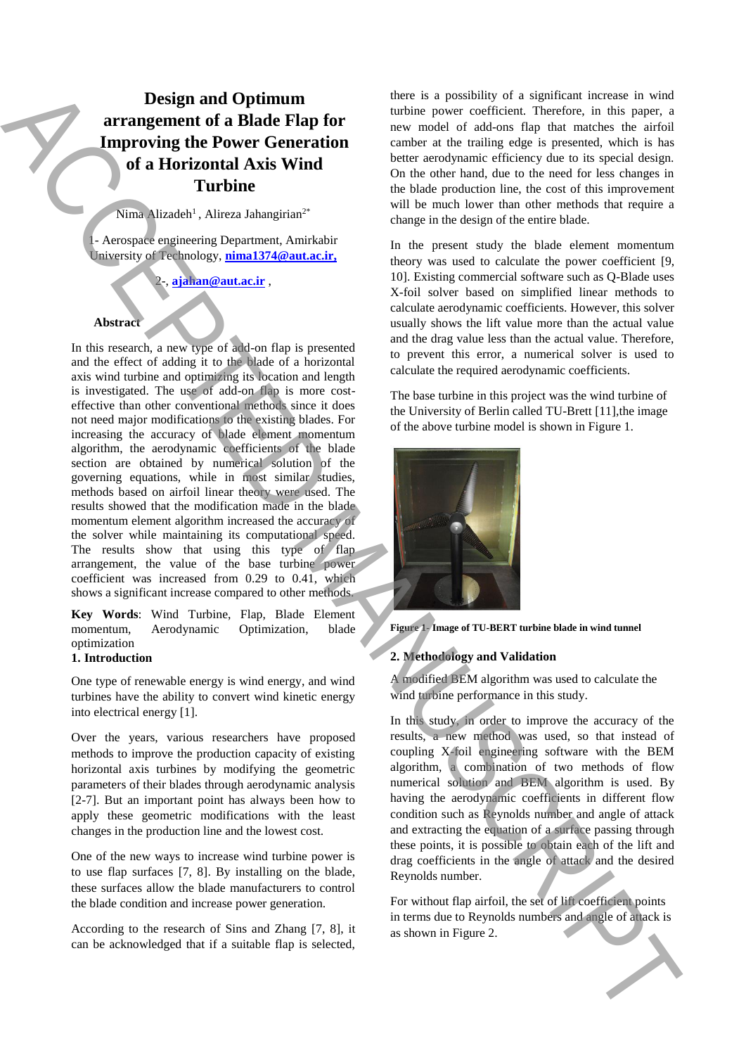# **Design and Optimum arrangement of a Blade Flap for Improving the Power Generation of a Horizontal Axis Wind Turbine**

Nima Alizadeh<sup>1</sup>, Alireza Jahangirian<sup>2\*</sup>

1- Aerospace engineering Department, Amirkabir University of Technology, **nima1374@aut.ac.ir,** 

 $a$ jahan@aut.ac.ir,

## **Abstract**

In this research, a new type of add-on flap is presented and the effect of adding it to the blade of a horizontal axis wind turbine and optimizing its location and length is investigated. The use of add-on flap is more costeffective than other conventional methods since it does not need major modifications to the existing blades. For increasing the accuracy of blade element momentum algorithm, the aerodynamic coefficients of the blade section are obtained by numerical solution of the governing equations, while in most similar studies, methods based on airfoil linear theory were used. The results showed that the modification made in the blade momentum element algorithm increased the accuracy of the solver while maintaining its computational speed. The results show that using this type of flap arrangement, the value of the base turbine power coefficient was increased from 0.29 to 0.41, which shows a significant increase compared to other methods. **Design and Column in The Countries of the state is proposed to the state in the state of the state of the state of the state of the state of the state of the state of the state of the state of the state of the state of t** 

**Key Words**: Wind Turbine, Flap, Blade Element momentum, Aerodynamic Optimization, blade optimization

# **1. Introduction**

One type of renewable energy is wind energy, and wind turbines have the ability to convert wind kinetic energy into electrical energy [1].

Over the years, various researchers have proposed methods to improve the production capacity of existing horizontal axis turbines by modifying the geometric parameters of their blades through aerodynamic analysis [2-7]. But an important point has always been how to apply these geometric modifications with the least changes in the production line and the lowest cost.

One of the new ways to increase wind turbine power is to use flap surfaces [7, 8]. By installing on the blade, these surfaces allow the blade manufacturers to control the blade condition and increase power generation.

According to the research of Sins and Zhang [7, 8], it can be acknowledged that if a suitable flap is selected, there is a possibility of a significant increase in wind turbine power coefficient. Therefore, in this paper, a new model of add-ons flap that matches the airfoil camber at the trailing edge is presented, which is has better aerodynamic efficiency due to its special design. On the other hand, due to the need for less changes in the blade production line, the cost of this improvement will be much lower than other methods that require a change in the design of the entire blade.

In the present study the blade element momentum theory was used to calculate the power coefficient [9, 10]. Existing commercial software such as Q-Blade uses X-foil solver based on simplified linear methods to calculate aerodynamic coefficients. However, this solver usually shows the lift value more than the actual value and the drag value less than the actual value. Therefore, to prevent this error, a numerical solver is used to calculate the required aerodynamic coefficients.

The base turbine in this project was the wind turbine of the University of Berlin called TU-Brett [11],the image of the above turbine model is shown in Figure 1.





# **2. Methodology and Validation**

A modified BEM algorithm was used to calculate the wind turbine performance in this study.

In this study, in order to improve the accuracy of the results, a new method was used, so that instead of coupling X-foil engineering software with the BEM algorithm, a combination of two methods of flow numerical solution and BEM algorithm is used. By having the aerodynamic coefficients in different flow condition such as Reynolds number and angle of attack and extracting the equation of a surface passing through these points, it is possible to obtain each of the lift and drag coefficients in the angle of attack and the desired Reynolds number.

For without flap airfoil, the set of lift coefficient points in terms due to Reynolds numbers and angle of attack is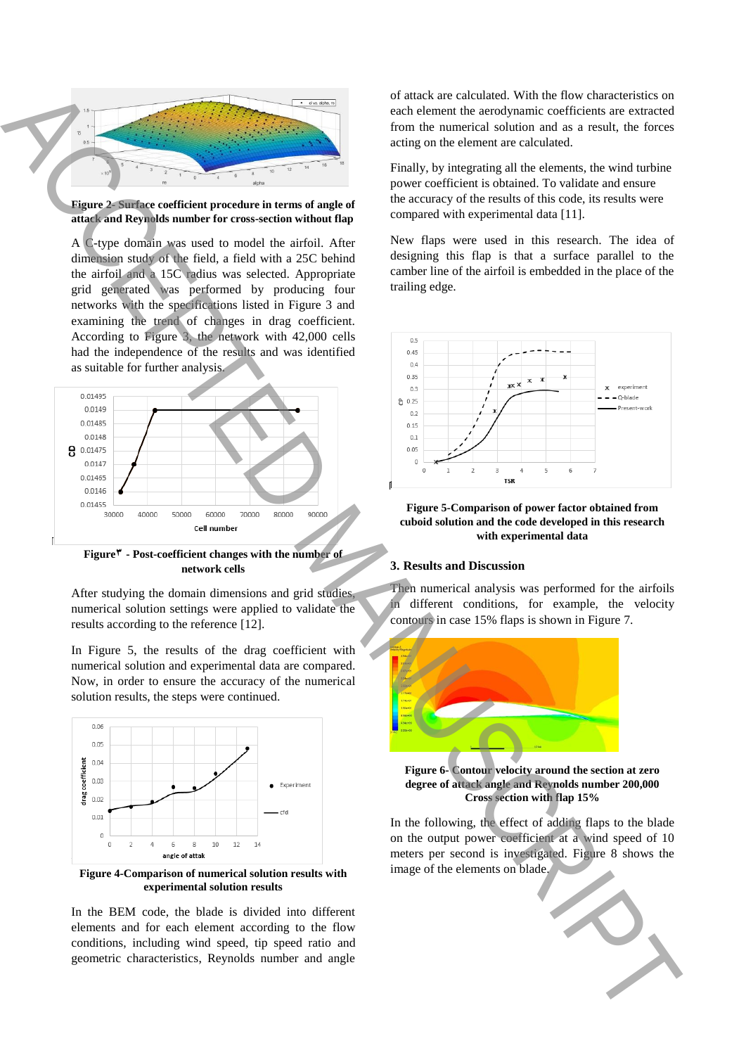

**Figure 2- Surface coefficient procedure in terms of angle of attack and Reynolds number for cross-section without flap**

A C-type domain was used to model the airfoil. After dimension study of the field, a field with a 25C behind the airfoil and a 15C radius was selected. Appropriate grid generated was performed by producing four networks with the specifications listed in Figure 3 and examining the trend of changes in drag coefficient. According to Figure 3, the network with 42,000 cells had the independence of the results and was identified as suitable for further analysis.



**Figure3 - Post-coefficient changes with the number of network cells**

After studying the domain dimensions and grid studies, numerical solution settings were applied to validate the results according to the reference [12].

In Figure 5, the results of the drag coefficient with numerical solution and experimental data are compared. Now, in order to ensure the accuracy of the numerical solution results, the steps were continued.



**Figure 4-Comparison of numerical solution results with experimental solution results**

In the BEM code, the blade is divided into different elements and for each element according to the flow conditions, including wind speed, tip speed ratio and geometric characteristics, Reynolds number and angle

of attack are calculated. With the flow characteristics on each element the aerodynamic coefficients are extracted from the numerical solution and as a result, the forces acting on the element are calculated.

Finally, by integrating all the elements, the wind turbine power coefficient is obtained. To validate and ensure the accuracy of the results of this code, its results were compared with experimental data [11].

New flaps were used in this research. The idea of designing this flap is that a surface parallel to the camber line of the airfoil is embedded in the place of the trailing edge.



**Figure 5-Comparison of power factor obtained from cuboid solution and the code developed in this research with experimental data**

#### **3. Results and Discussion**

Then numerical analysis was performed for the airfoils different conditions, for example, the velocity contours in case 15% flaps is shown in Figure 7.



**Figure 6- Contour velocity around the section at zero degree of attack angle and Reynolds number 200,000 Cross section with flap 15%**

In the following, the effect of adding flaps to the blade on the output power coefficient at a wind speed of 10 meters per second is investigated. Figure 8 shows the image of the elements on blade.